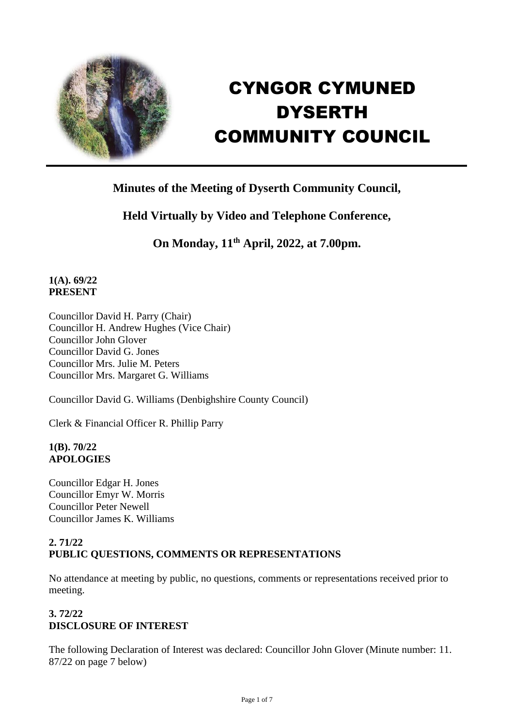

# CYNGOR CYMUNED **DYSERTH** COMMUNITY COUNCIL

# **Minutes of the Meeting of Dyserth Community Council,**

# **Held Virtually by Video and Telephone Conference,**

**On Monday, 11th April, 2022, at 7.00pm.**

# **1(A). 69/22 PRESENT**

Councillor David H. Parry (Chair) Councillor H. Andrew Hughes (Vice Chair) Councillor John Glover Councillor David G. Jones Councillor Mrs. Julie M. Peters Councillor Mrs. Margaret G. Williams

Councillor David G. Williams (Denbighshire County Council)

Clerk & Financial Officer R. Phillip Parry

#### **1(B). 70/22 APOLOGIES**

Councillor Edgar H. Jones Councillor Emyr W. Morris Councillor Peter Newell Councillor James K. Williams

# **2. 71/22 PUBLIC QUESTIONS, COMMENTS OR REPRESENTATIONS**

No attendance at meeting by public, no questions, comments or representations received prior to meeting.

# **3. 72/22 DISCLOSURE OF INTEREST**

The following Declaration of Interest was declared: Councillor John Glover (Minute number: 11. 87/22 on page 7 below)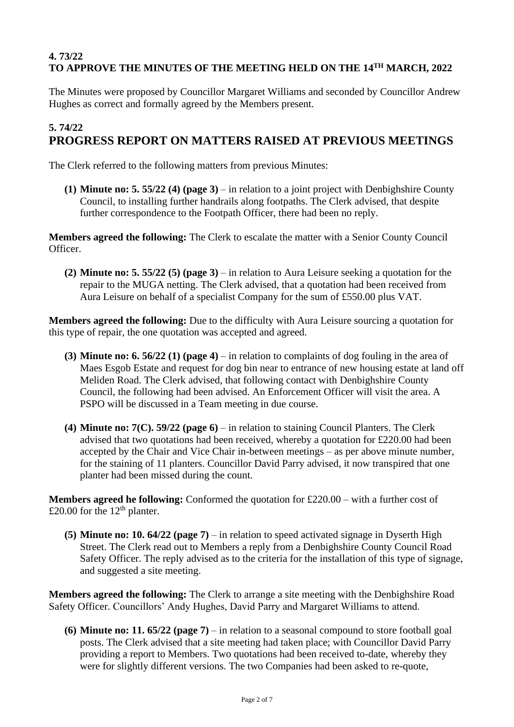# **4. 73/22 TO APPROVE THE MINUTES OF THE MEETING HELD ON THE 14TH MARCH, 2022**

The Minutes were proposed by Councillor Margaret Williams and seconded by Councillor Andrew Hughes as correct and formally agreed by the Members present.

# **5. 74/22 PROGRESS REPORT ON MATTERS RAISED AT PREVIOUS MEETINGS**

The Clerk referred to the following matters from previous Minutes:

**(1) Minute no: 5. 55/22 (4) (page 3)** – in relation to a joint project with Denbighshire County Council, to installing further handrails along footpaths. The Clerk advised, that despite further correspondence to the Footpath Officer, there had been no reply.

**Members agreed the following:** The Clerk to escalate the matter with a Senior County Council Officer.

**(2) Minute no: 5. 55/22 (5) (page 3)** – in relation to Aura Leisure seeking a quotation for the repair to the MUGA netting. The Clerk advised, that a quotation had been received from Aura Leisure on behalf of a specialist Company for the sum of £550.00 plus VAT.

**Members agreed the following:** Due to the difficulty with Aura Leisure sourcing a quotation for this type of repair, the one quotation was accepted and agreed.

- **(3) Minute no: 6. 56/22 (1) (page 4)** in relation to complaints of dog fouling in the area of Maes Esgob Estate and request for dog bin near to entrance of new housing estate at land off Meliden Road. The Clerk advised, that following contact with Denbighshire County Council, the following had been advised. An Enforcement Officer will visit the area. A PSPO will be discussed in a Team meeting in due course.
- **(4) Minute no: 7(C). 59/22 (page 6)** in relation to staining Council Planters. The Clerk advised that two quotations had been received, whereby a quotation for £220.00 had been accepted by the Chair and Vice Chair in-between meetings – as per above minute number, for the staining of 11 planters. Councillor David Parry advised, it now transpired that one planter had been missed during the count.

**Members agreed he following:** Conformed the quotation for £220.00 – with a further cost of £20.00 for the  $12<sup>th</sup>$  planter.

**(5) Minute no: 10. 64/22 (page 7)** – in relation to speed activated signage in Dyserth High Street. The Clerk read out to Members a reply from a Denbighshire County Council Road Safety Officer. The reply advised as to the criteria for the installation of this type of signage, and suggested a site meeting.

**Members agreed the following:** The Clerk to arrange a site meeting with the Denbighshire Road Safety Officer. Councillors' Andy Hughes, David Parry and Margaret Williams to attend.

**(6) Minute no: 11. 65/22 (page 7)** – in relation to a seasonal compound to store football goal posts. The Clerk advised that a site meeting had taken place; with Councillor David Parry providing a report to Members. Two quotations had been received to-date, whereby they were for slightly different versions. The two Companies had been asked to re-quote,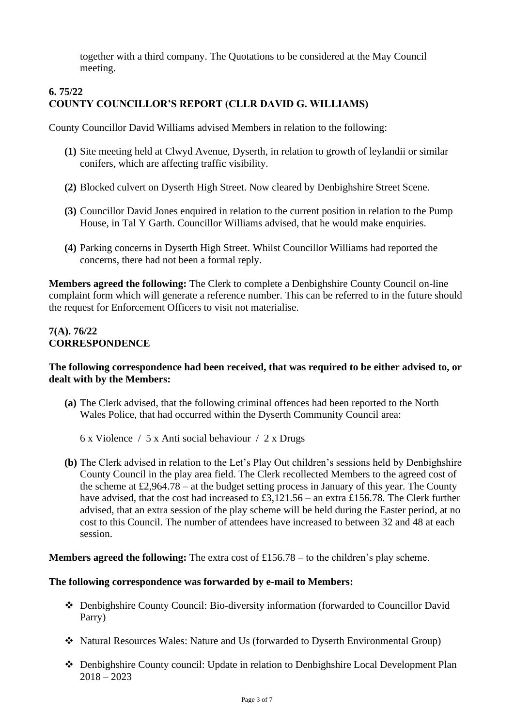together with a third company. The Quotations to be considered at the May Council meeting.

# **6. 75/22 COUNTY COUNCILLOR'S REPORT (CLLR DAVID G. WILLIAMS)**

County Councillor David Williams advised Members in relation to the following:

- **(1)** Site meeting held at Clwyd Avenue, Dyserth, in relation to growth of leylandii or similar conifers, which are affecting traffic visibility.
- **(2)** Blocked culvert on Dyserth High Street. Now cleared by Denbighshire Street Scene.
- **(3)** Councillor David Jones enquired in relation to the current position in relation to the Pump House, in Tal Y Garth. Councillor Williams advised, that he would make enquiries.
- **(4)** Parking concerns in Dyserth High Street. Whilst Councillor Williams had reported the concerns, there had not been a formal reply.

**Members agreed the following:** The Clerk to complete a Denbighshire County Council on-line complaint form which will generate a reference number. This can be referred to in the future should the request for Enforcement Officers to visit not materialise.

#### **7(A). 76/22 CORRESPONDENCE**

#### **The following correspondence had been received, that was required to be either advised to, or dealt with by the Members:**

**(a)** The Clerk advised, that the following criminal offences had been reported to the North Wales Police, that had occurred within the Dyserth Community Council area:

6 x Violence / 5 x Anti social behaviour / 2 x Drugs

**(b)** The Clerk advised in relation to the Let's Play Out children's sessions held by Denbighshire County Council in the play area field. The Clerk recollected Members to the agreed cost of the scheme at  $\text{\pounds}2,964.78 -$  at the budget setting process in January of this year. The County have advised, that the cost had increased to £3,121.56 – an extra £156.78. The Clerk further advised, that an extra session of the play scheme will be held during the Easter period, at no cost to this Council. The number of attendees have increased to between 32 and 48 at each session.

**Members agreed the following:** The extra cost of £156.78 – to the children's play scheme.

#### **The following correspondence was forwarded by e-mail to Members:**

- ❖ Denbighshire County Council: Bio-diversity information (forwarded to Councillor David Parry)
- ❖ Natural Resources Wales: Nature and Us (forwarded to Dyserth Environmental Group)
- ❖ Denbighshire County council: Update in relation to Denbighshire Local Development Plan  $2018 - 2023$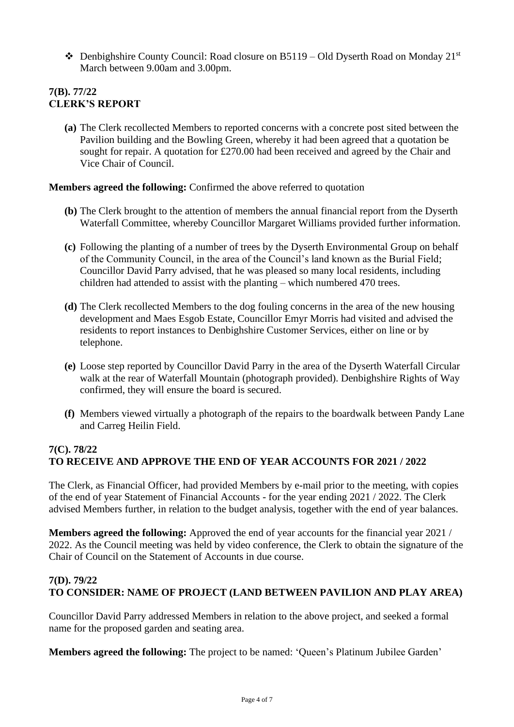❖ Denbighshire County Council: Road closure on B5119 – Old Dyserth Road on Monday 21st March between 9.00am and 3.00pm.

# **7(B). 77/22 CLERK'S REPORT**

**(a)** The Clerk recollected Members to reported concerns with a concrete post sited between the Pavilion building and the Bowling Green, whereby it had been agreed that a quotation be sought for repair. A quotation for £270.00 had been received and agreed by the Chair and Vice Chair of Council.

#### **Members agreed the following:** Confirmed the above referred to quotation

- **(b)** The Clerk brought to the attention of members the annual financial report from the Dyserth Waterfall Committee, whereby Councillor Margaret Williams provided further information.
- **(c)** Following the planting of a number of trees by the Dyserth Environmental Group on behalf of the Community Council, in the area of the Council's land known as the Burial Field; Councillor David Parry advised, that he was pleased so many local residents, including children had attended to assist with the planting – which numbered 470 trees.
- **(d)** The Clerk recollected Members to the dog fouling concerns in the area of the new housing development and Maes Esgob Estate, Councillor Emyr Morris had visited and advised the residents to report instances to Denbighshire Customer Services, either on line or by telephone.
- **(e)** Loose step reported by Councillor David Parry in the area of the Dyserth Waterfall Circular walk at the rear of Waterfall Mountain (photograph provided). Denbighshire Rights of Way confirmed, they will ensure the board is secured.
- **(f)** Members viewed virtually a photograph of the repairs to the boardwalk between Pandy Lane and Carreg Heilin Field.

#### **7(C). 78/22 TO RECEIVE AND APPROVE THE END OF YEAR ACCOUNTS FOR 2021 / 2022**

The Clerk, as Financial Officer, had provided Members by e-mail prior to the meeting, with copies of the end of year Statement of Financial Accounts - for the year ending 2021 / 2022. The Clerk advised Members further, in relation to the budget analysis, together with the end of year balances.

**Members agreed the following:** Approved the end of year accounts for the financial year 2021 / 2022. As the Council meeting was held by video conference, the Clerk to obtain the signature of the Chair of Council on the Statement of Accounts in due course.

# **7(D). 79/22 TO CONSIDER: NAME OF PROJECT (LAND BETWEEN PAVILION AND PLAY AREA)**

Councillor David Parry addressed Members in relation to the above project, and seeked a formal name for the proposed garden and seating area.

**Members agreed the following:** The project to be named: 'Queen's Platinum Jubilee Garden'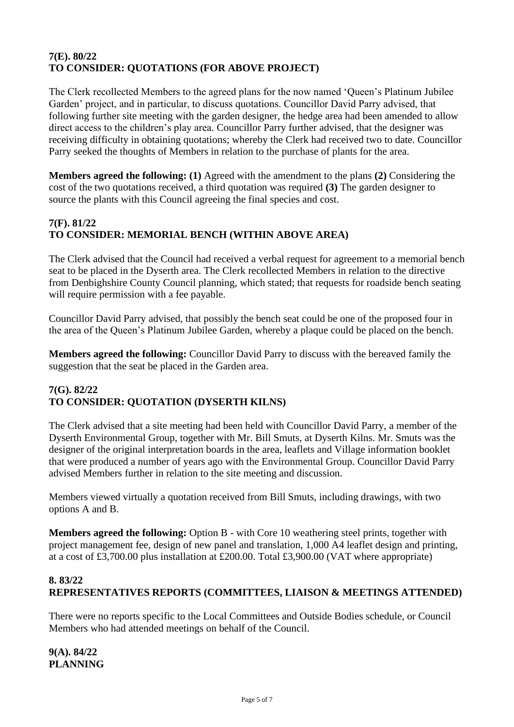# **7(E). 80/22 TO CONSIDER: QUOTATIONS (FOR ABOVE PROJECT)**

The Clerk recollected Members to the agreed plans for the now named 'Queen's Platinum Jubilee Garden' project, and in particular, to discuss quotations. Councillor David Parry advised, that following further site meeting with the garden designer, the hedge area had been amended to allow direct access to the children's play area. Councillor Parry further advised, that the designer was receiving difficulty in obtaining quotations; whereby the Clerk had received two to date. Councillor Parry seeked the thoughts of Members in relation to the purchase of plants for the area.

**Members agreed the following: (1)** Agreed with the amendment to the plans **(2)** Considering the cost of the two quotations received, a third quotation was required **(3)** The garden designer to source the plants with this Council agreeing the final species and cost.

# **7(F). 81/22 TO CONSIDER: MEMORIAL BENCH (WITHIN ABOVE AREA)**

The Clerk advised that the Council had received a verbal request for agreement to a memorial bench seat to be placed in the Dyserth area. The Clerk recollected Members in relation to the directive from Denbighshire County Council planning, which stated; that requests for roadside bench seating will require permission with a fee payable.

Councillor David Parry advised, that possibly the bench seat could be one of the proposed four in the area of the Queen's Platinum Jubilee Garden, whereby a plaque could be placed on the bench.

**Members agreed the following:** Councillor David Parry to discuss with the bereaved family the suggestion that the seat be placed in the Garden area.

# **7(G). 82/22 TO CONSIDER: QUOTATION (DYSERTH KILNS)**

The Clerk advised that a site meeting had been held with Councillor David Parry, a member of the Dyserth Environmental Group, together with Mr. Bill Smuts, at Dyserth Kilns. Mr. Smuts was the designer of the original interpretation boards in the area, leaflets and Village information booklet that were produced a number of years ago with the Environmental Group. Councillor David Parry advised Members further in relation to the site meeting and discussion.

Members viewed virtually a quotation received from Bill Smuts, including drawings, with two options A and B.

**Members agreed the following:** Option B - with Core 10 weathering steel prints, together with project management fee, design of new panel and translation, 1,000 A4 leaflet design and printing, at a cost of £3,700.00 plus installation at £200.00. Total £3,900.00 (VAT where appropriate)

# **8. 83/22 REPRESENTATIVES REPORTS (COMMITTEES, LIAISON & MEETINGS ATTENDED)**

There were no reports specific to the Local Committees and Outside Bodies schedule, or Council Members who had attended meetings on behalf of the Council.

**9(A). 84/22 PLANNING**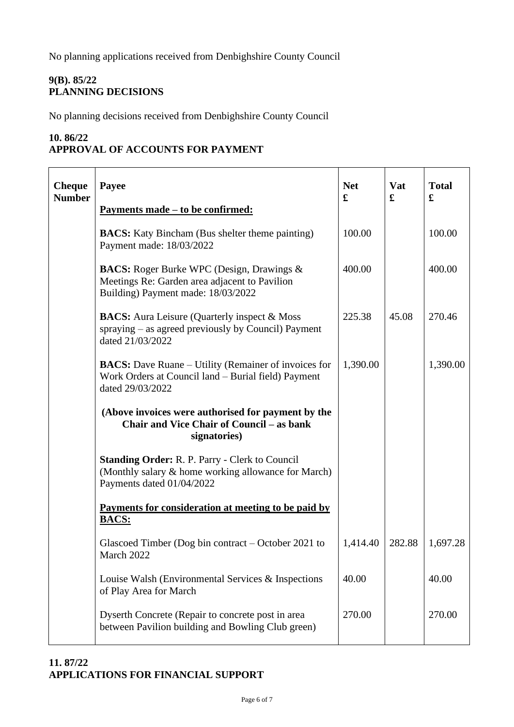No planning applications received from Denbighshire County Council

# **9(B). 85/22 PLANNING DECISIONS**

No planning decisions received from Denbighshire County Council

#### **10. 86/22 APPROVAL OF ACCOUNTS FOR PAYMENT**

| <b>Cheque</b><br><b>Number</b> | Payee<br><u>Payments made – to be confirmed:</u>                                                                                          | <b>Net</b><br>£ | Vat<br>£ | <b>Total</b><br>£ |
|--------------------------------|-------------------------------------------------------------------------------------------------------------------------------------------|-----------------|----------|-------------------|
|                                | <b>BACS:</b> Katy Bincham (Bus shelter theme painting)<br>Payment made: 18/03/2022                                                        | 100.00          |          | 100.00            |
|                                | <b>BACS:</b> Roger Burke WPC (Design, Drawings &<br>Meetings Re: Garden area adjacent to Pavilion<br>Building) Payment made: 18/03/2022   | 400.00          |          | 400.00            |
|                                | <b>BACS:</b> Aura Leisure (Quarterly inspect & Moss<br>spraying – as agreed previously by Council) Payment<br>dated 21/03/2022            | 225.38          | 45.08    | 270.46            |
|                                | <b>BACS:</b> Dave Ruane – Utility (Remainer of invoices for<br>Work Orders at Council land – Burial field) Payment<br>dated 29/03/2022    | 1,390.00        |          | 1,390.00          |
|                                | (Above invoices were authorised for payment by the<br><b>Chair and Vice Chair of Council – as bank</b><br>signatories)                    |                 |          |                   |
|                                | <b>Standing Order: R. P. Parry - Clerk to Council</b><br>(Monthly salary & home working allowance for March)<br>Payments dated 01/04/2022 |                 |          |                   |
|                                | Payments for consideration at meeting to be paid by<br><b>BACS:</b>                                                                       |                 |          |                   |
|                                | Glascoed Timber (Dog bin contract – October 2021 to<br>March 2022                                                                         | 1,414.40        | 282.88   | 1,697.28          |
|                                | Louise Walsh (Environmental Services & Inspections)<br>of Play Area for March                                                             | 40.00           |          | 40.00             |
|                                | Dyserth Concrete (Repair to concrete post in area<br>between Pavilion building and Bowling Club green)                                    | 270.00          |          | 270.00            |

# **11. 87/22 APPLICATIONS FOR FINANCIAL SUPPORT**